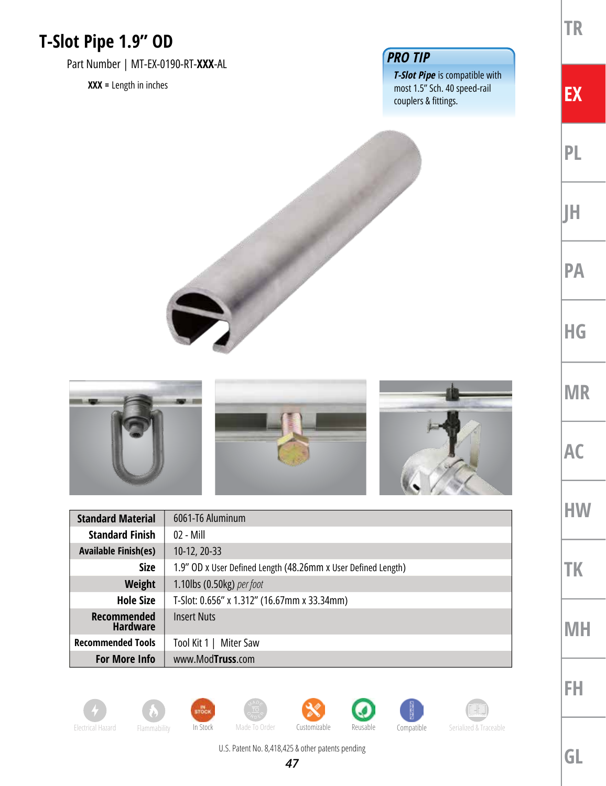## **T-Slot Pipe 1.9" OD**

Part Number | MT-EX-0190-RT-**XXX**-AL

**XXX =** Length in inches

## *PRO TIP*

*T-Slot Pipe* is compatible with most 1.5" Sch. 40 speed-rail couplers & fittings.

**TR**

**EX**

**PL**

**JH**

**PA**

**HG**

**MR**

**AC**

**HW**

**TK**

**MH**

**FH**





| <b>Standard Material</b>              | 6061-T6 Aluminum                                              |
|---------------------------------------|---------------------------------------------------------------|
| <b>Standard Finish</b>                | $02 - Mill$                                                   |
| <b>Available Finish(es)</b>           | 10-12, 20-33                                                  |
| <b>Size</b>                           | 1.9" OD x User Defined Length (48.26mm x User Defined Length) |
| Weight                                | 1.10lbs (0.50kg) per foot                                     |
| <b>Hole Size</b>                      | T-Slot: 0.656" x 1.312" (16.67mm x 33.34mm)                   |
| <b>Recommended</b><br><b>Hardware</b> | <b>Insert Nuts</b>                                            |
| <b>Recommended Tools</b>              | Tool Kit 1  <br>Miter Saw                                     |
| <b>For More Info</b>                  | www.ModTruss.com                                              |

















*47*